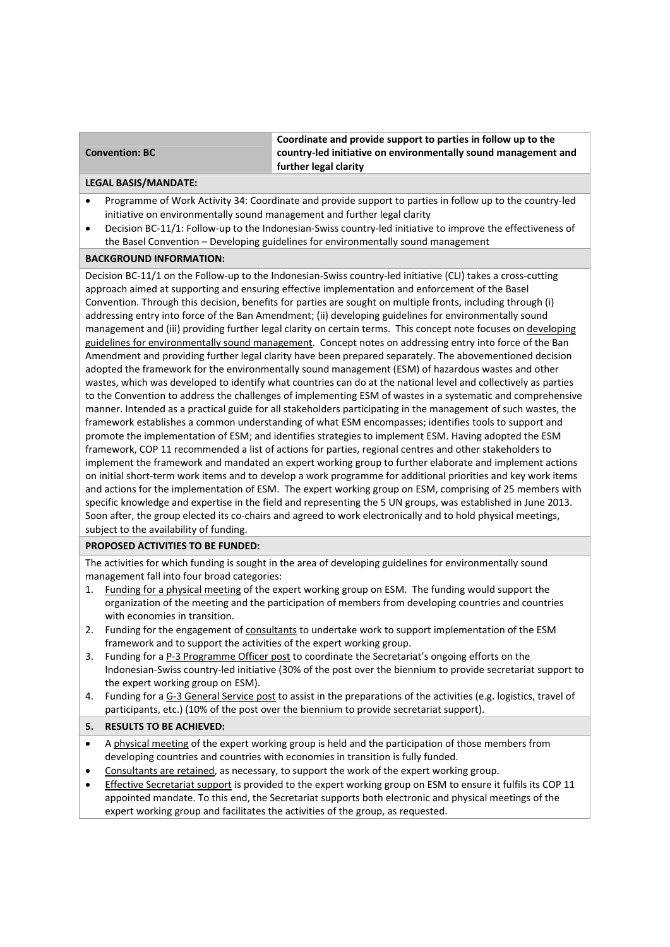### **Convention: BC**

**Coordinate and provide support to parties in follow up to the country‐led initiative on environmentally sound management and further legal clarity** 

### **LEGAL BASIS/MANDATE:**

- Programme of Work Activity 34: Coordinate and provide support to parties in follow up to the country‐led initiative on environmentally sound management and further legal clarity
- Decision BC-11/1: Follow-up to the Indonesian-Swiss country-led initiative to improve the effectiveness of the Basel Convention – Developing guidelines for environmentally sound management

# **BACKGROUND INFORMATION:**

Decision BC-11/1 on the Follow-up to the Indonesian-Swiss country-led initiative (CLI) takes a cross-cutting approach aimed at supporting and ensuring effective implementation and enforcement of the Basel Convention. Through this decision, benefits for parties are sought on multiple fronts, including through (i) addressing entry into force of the Ban Amendment; (ii) developing guidelines for environmentally sound management and (iii) providing further legal clarity on certain terms. This concept note focuses on developing guidelines for environmentally sound management. Concept notes on addressing entry into force of the Ban Amendment and providing further legal clarity have been prepared separately. The abovementioned decision adopted the framework for the environmentally sound management (ESM) of hazardous wastes and other wastes, which was developed to identify what countries can do at the national level and collectively as parties to the Convention to address the challenges of implementing ESM of wastes in a systematic and comprehensive manner. Intended as a practical guide for all stakeholders participating in the management of such wastes, the framework establishes a common understanding of what ESM encompasses; identifies tools to support and promote the implementation of ESM; and identifies strategies to implement ESM. Having adopted the ESM framework, COP 11 recommended a list of actions for parties, regional centres and other stakeholders to implement the framework and mandated an expert working group to further elaborate and implement actions on initial short‐term work items and to develop a work programme for additional priorities and key work items and actions for the implementation of ESM. The expert working group on ESM, comprising of 25 members with specific knowledge and expertise in the field and representing the 5 UN groups, was established in June 2013. Soon after, the group elected its co‐chairs and agreed to work electronically and to hold physical meetings, subject to the availability of funding.

# **PROPOSED ACTIVITIES TO BE FUNDED:**

The activities for which funding is sought in the area of developing guidelines for environmentally sound management fall into four broad categories:

- 1. Funding for a physical meeting of the expert working group on ESM. The funding would support the organization of the meeting and the participation of members from developing countries and countries with economies in transition.
- 2. Funding for the engagement of consultants to undertake work to support implementation of the ESM framework and to support the activities of the expert working group.
- 3. Funding for a P‐3 Programme Officer post to coordinate the Secretariat's ongoing efforts on the Indonesian‐Swiss country‐led initiative (30% of the post over the biennium to provide secretariat support to the expert working group on ESM).
- 4. Funding for a G‐3 General Service post to assist in the preparations of the activities (e.g. logistics, travel of participants, etc.) (10% of the post over the biennium to provide secretariat support).

# **5. RESULTS TO BE ACHIEVED:**

- A physical meeting of the expert working group is held and the participation of those members from developing countries and countries with economies in transition is fully funded.
- Consultants are retained, as necessary, to support the work of the expert working group.
- **Effective Secretariat support is provided to the expert working group on ESM to ensure it fulfils its COP 11** appointed mandate. To this end, the Secretariat supports both electronic and physical meetings of the expert working group and facilitates the activities of the group, as requested.